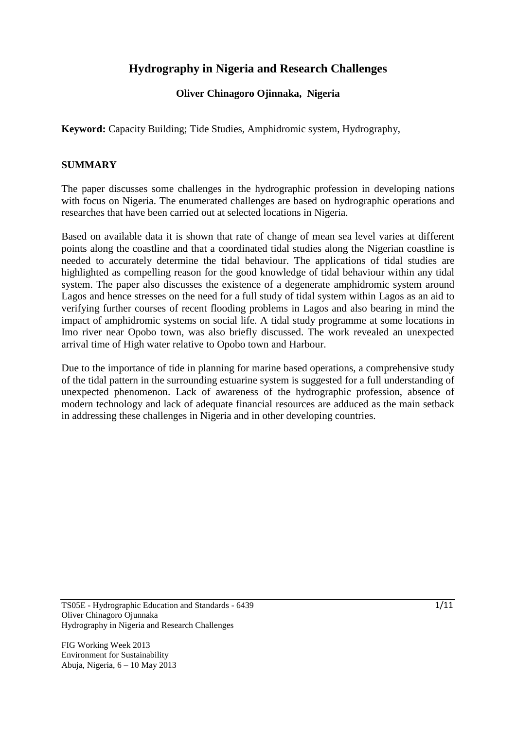## **Hydrography in Nigeria and Research Challenges**

### **Oliver Chinagoro Ojinnaka, Nigeria**

**Keyword:** Capacity Building; Tide Studies, Amphidromic system, Hydrography,

### **SUMMARY**

The paper discusses some challenges in the hydrographic profession in developing nations with focus on Nigeria. The enumerated challenges are based on hydrographic operations and researches that have been carried out at selected locations in Nigeria.

Based on available data it is shown that rate of change of mean sea level varies at different points along the coastline and that a coordinated tidal studies along the Nigerian coastline is needed to accurately determine the tidal behaviour. The applications of tidal studies are highlighted as compelling reason for the good knowledge of tidal behaviour within any tidal system. The paper also discusses the existence of a degenerate amphidromic system around Lagos and hence stresses on the need for a full study of tidal system within Lagos as an aid to verifying further courses of recent flooding problems in Lagos and also bearing in mind the impact of amphidromic systems on social life. A tidal study programme at some locations in Imo river near Opobo town, was also briefly discussed. The work revealed an unexpected arrival time of High water relative to Opobo town and Harbour.

Due to the importance of tide in planning for marine based operations, a comprehensive study of the tidal pattern in the surrounding estuarine system is suggested for a full understanding of unexpected phenomenon. Lack of awareness of the hydrographic profession, absence of modern technology and lack of adequate financial resources are adduced as the main setback in addressing these challenges in Nigeria and in other developing countries.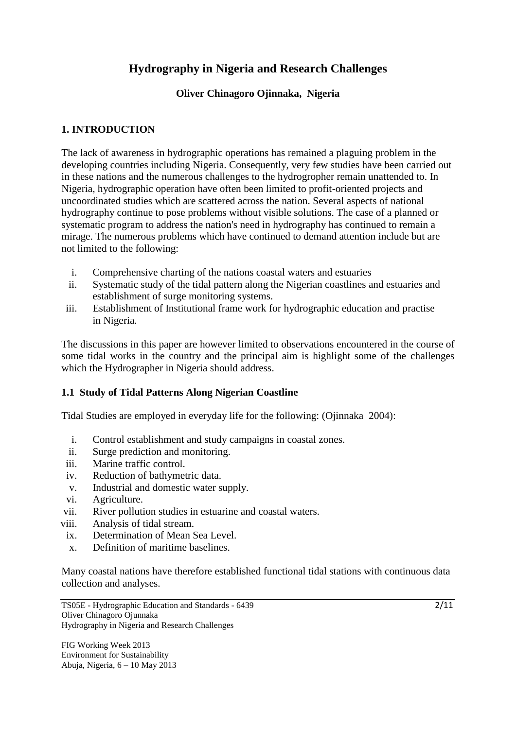## **Hydrography in Nigeria and Research Challenges**

### **Oliver Chinagoro Ojinnaka, Nigeria**

### **1. INTRODUCTION**

The lack of awareness in hydrographic operations has remained a plaguing problem in the developing countries including Nigeria. Consequently, very few studies have been carried out in these nations and the numerous challenges to the hydrogropher remain unattended to. In Nigeria, hydrographic operation have often been limited to profit-oriented projects and uncoordinated studies which are scattered across the nation. Several aspects of national hydrography continue to pose problems without visible solutions. The case of a planned or systematic program to address the nation's need in hydrography has continued to remain a mirage. The numerous problems which have continued to demand attention include but are not limited to the following:

- i. Comprehensive charting of the nations coastal waters and estuaries
- ii. Systematic study of the tidal pattern along the Nigerian coastlines and estuaries and establishment of surge monitoring systems.
- iii. Establishment of Institutional frame work for hydrographic education and practise in Nigeria.

The discussions in this paper are however limited to observations encountered in the course of some tidal works in the country and the principal aim is highlight some of the challenges which the Hydrographer in Nigeria should address.

### **1.1 Study of Tidal Patterns Along Nigerian Coastline**

Tidal Studies are employed in everyday life for the following: (Ojinnaka 2004):

- i. Control establishment and study campaigns in coastal zones.
- ii. Surge prediction and monitoring.
- iii. Marine traffic control.
- iv. Reduction of bathymetric data.
- v. Industrial and domestic water supply.
- vi. Agriculture.
- vii. River pollution studies in estuarine and coastal waters.
- viii. Analysis of tidal stream.
- ix. Determination of Mean Sea Level.
- x. Definition of maritime baselines.

Many coastal nations have therefore established functional tidal stations with continuous data collection and analyses.

TS05E - Hydrographic Education and Standards - 6439 Oliver Chinagoro Ojunnaka Hydrography in Nigeria and Research Challenges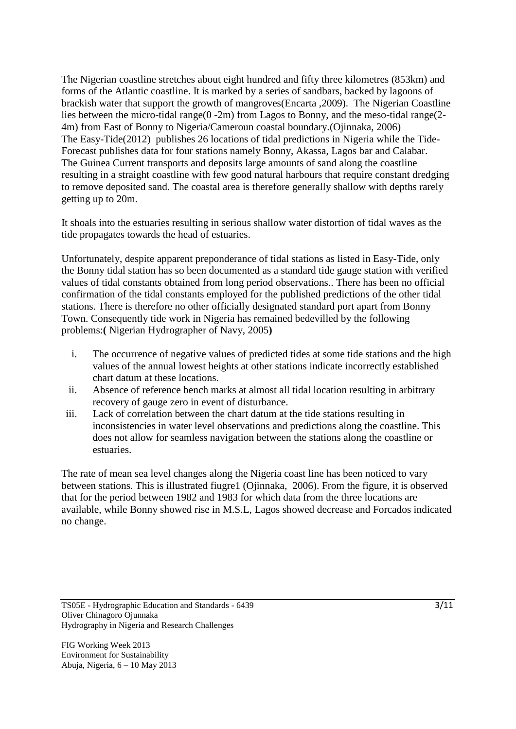The Nigerian coastline stretches about eight hundred and fifty three kilometres (853km) and forms of the Atlantic coastline. It is marked by a series of sandbars, backed by lagoons of brackish water that support the growth of mangroves(Encarta ,2009). The Nigerian Coastline lies between the micro-tidal range(0 -2m) from Lagos to Bonny, and the meso-tidal range(2-4m) from East of Bonny to Nigeria/Cameroun coastal boundary.(Ojinnaka, 2006) The Easy-Tide(2012) publishes 26 locations of tidal predictions in Nigeria while the Tide-Forecast publishes data for four stations namely Bonny, Akassa, Lagos bar and Calabar. The Guinea Current transports and deposits large amounts of sand along the coastline resulting in a straight coastline with few good natural harbours that require constant dredging to remove deposited sand. The coastal area is therefore generally shallow with depths rarely getting up to 20m.

It shoals into the estuaries resulting in serious shallow water distortion of tidal waves as the tide propagates towards the head of estuaries.

Unfortunately, despite apparent preponderance of tidal stations as listed in Easy-Tide, only the Bonny tidal station has so been documented as a standard tide gauge station with verified values of tidal constants obtained from long period observations.. There has been no official confirmation of the tidal constants employed for the published predictions of the other tidal stations. There is therefore no other officially designated standard port apart from Bonny Town. Consequently tide work in Nigeria has remained bedevilled by the following problems:**(** Nigerian Hydrographer of Navy, 2005**)**

- i. The occurrence of negative values of predicted tides at some tide stations and the high values of the annual lowest heights at other stations indicate incorrectly established chart datum at these locations.
- ii. Absence of reference bench marks at almost all tidal location resulting in arbitrary recovery of gauge zero in event of disturbance.
- iii. Lack of correlation between the chart datum at the tide stations resulting in inconsistencies in water level observations and predictions along the coastline. This does not allow for seamless navigation between the stations along the coastline or estuaries.

The rate of mean sea level changes along the Nigeria coast line has been noticed to vary between stations. This is illustrated fiugre1 (Ojinnaka, 2006). From the figure, it is observed that for the period between 1982 and 1983 for which data from the three locations are available, while Bonny showed rise in M.S.L, Lagos showed decrease and Forcados indicated no change.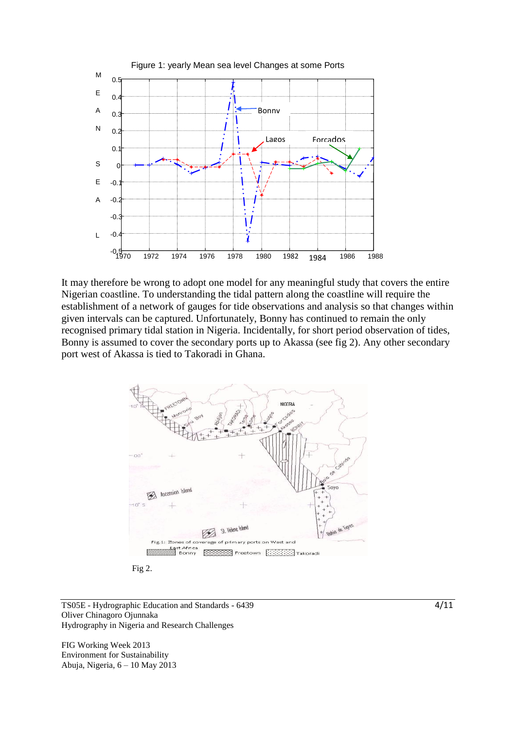

It may therefore be wrong to adopt one model for any meaningful study that covers the entire Nigerian coastline. To understanding the tidal pattern along the coastline will require the E establishment of a network of gauges for tide observations and analysis so that changes within L given intervals can be captured. Unfortunately, Bonny has continued to remain the only recognised primary tidal station in Nigeria. Incidentally, for short period observation of tides, Bonny is assumed to cover the secondary ports up to Akassa (see fig 2). Any other secondary C port west of Akassa is tied to Takoradi in Ghana. H



Fig 2.

TS05E - Hydrographic Education and Standards - 6439 Oliver Chinagoro Ojunnaka Hydrography in Nigeria and Research Challenges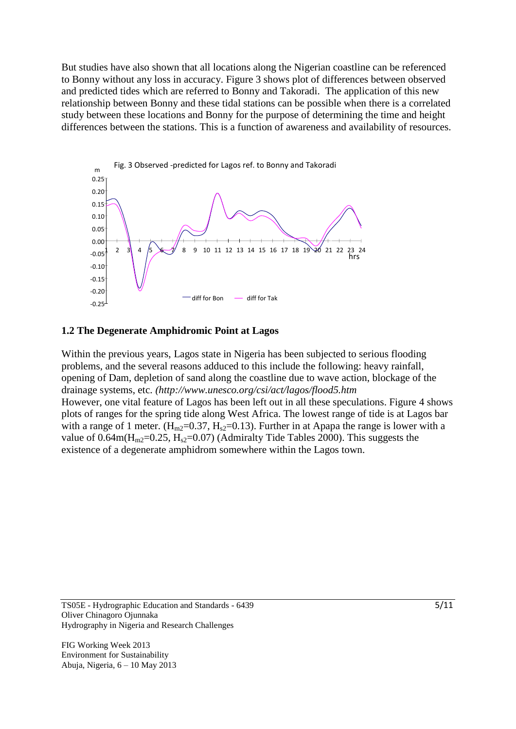But studies have also shown that all locations along the Nigerian coastline can be referenced to Bonny without any loss in accuracy. Figure 3 shows plot of differences between observed and predicted tides which are referred to Bonny and Takoradi. The application of this new relationship between Bonny and these tidal stations can be possible when there is a correlated study between these locations and Bonny for the purpose of determining the time and height differences between the stations. This is a function of awareness and availability of resources.



#### **1.2 The Degenerate Amphidromic Point at Lagos**

Within the previous years, Lagos state in Nigeria has been subjected to serious flooding problems, and the several reasons adduced to this include the following: heavy rainfall, opening of Dam, depletion of sand along the coastline due to wave action, blockage of the drainage systems, etc. *(http://www.unesco.org/csi/act/lagos/flood5.htm* However, one vital feature of Lagos has been left out in all these speculations. Figure 4 shows plots of ranges for the spring tide along West Africa. The lowest range of tide is at Lagos bar with a range of 1 meter.  $(H_{m2}=0.37, H_{s2}=0.13)$ . Further in at Apapa the range is lower with a value of  $0.64$ m( $H<sub>m2</sub>=0.25$ ,  $H<sub>s2</sub>=0.07$ ) (Admiralty Tide Tables 2000). This suggests the existence of a degenerate amphidrom somewhere within the Lagos town.

TS05E - Hydrographic Education and Standards - 6439 Oliver Chinagoro Ojunnaka Hydrography in Nigeria and Research Challenges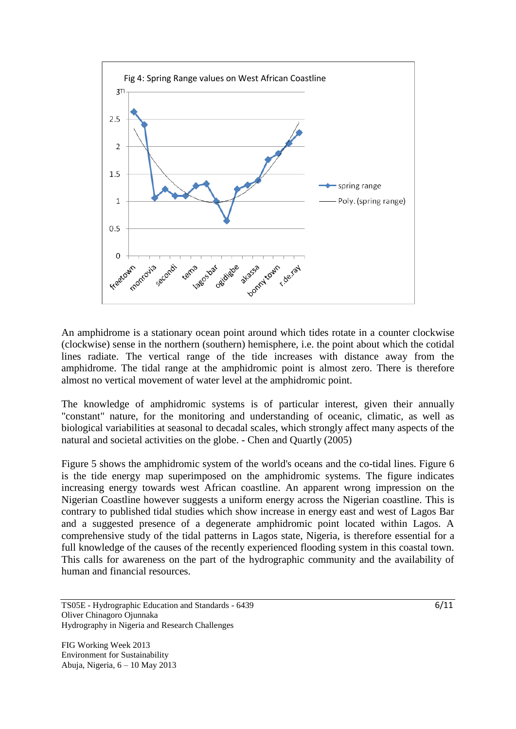

An amphidrome is a stationary [ocean](http://www.eoearth.org/article/Seas_of_the_world) point around which tides rotate in a counter clockwise (clockwise) sense in the northern (southern) hemisphere, i.e. the point about which the cotidal lines radiate. The vertical range of the tide increases with distance away from the amphidrome. The tidal range at the amphidromic point is almost zero. There is therefore almost no vertical movement of water level at the amphidromic point.

 The knowledge of amphidromic systems is of particular interest, given their annually "constant" nature, for the monitoring and understanding of oceanic, climatic, as well as biological variabilities at seasonal to decadal scales, which strongly affect many aspects of the natural and societal activities on the globe. - Chen and Quartly (2005)

 Figure 5 shows the amphidromic system of the world's oceans and the co-tidal lines. Figure 6 is the tide energy map superimposed on the amphidromic systems. The figure indicates increasing energy towards west African coastline. An apparent wrong impression on the Nigerian Coastline however suggests a uniform energy across the Nigerian coastline. This is contrary to published tidal studies which show increase in energy east and west of Lagos Bar and a suggested presence of a degenerate amphidromic point located within Lagos. A comprehensive study of the tidal patterns in Lagos state, Nigeria, is therefore essential for a full knowledge of the causes of the recently experienced flooding system in this coastal town. This calls for awareness on the part of the hydrographic community and the availability of human and financial resources.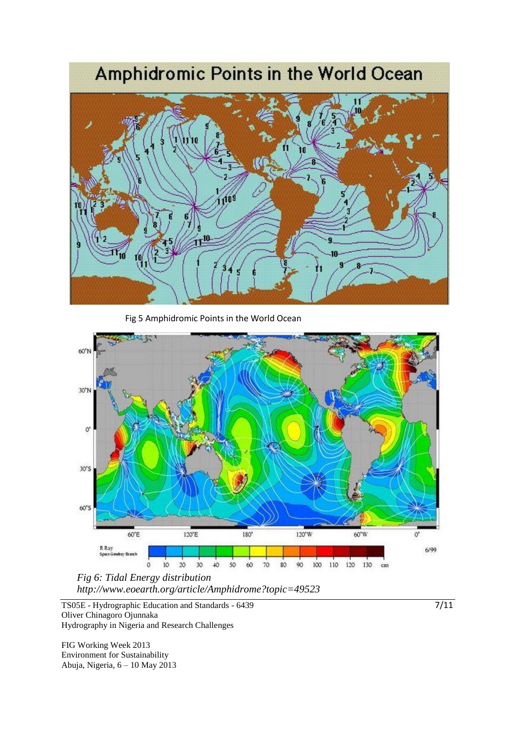# Amphidromic Points in the World Ocean



Fig 5 Amphidromic Points in the World Ocean



*http://www.eoearth.org/article/Amphidrome?topic=49523* 

TS05E - Hydrographic Education and Standards - 6439 Oliver Chinagoro Ojunnaka Hydrography in Nigeria and Research Challenges

FIG Working Week 2013 Environment for Sustainability Abuja, Nigeria, 6 – 10 May 2013 7/11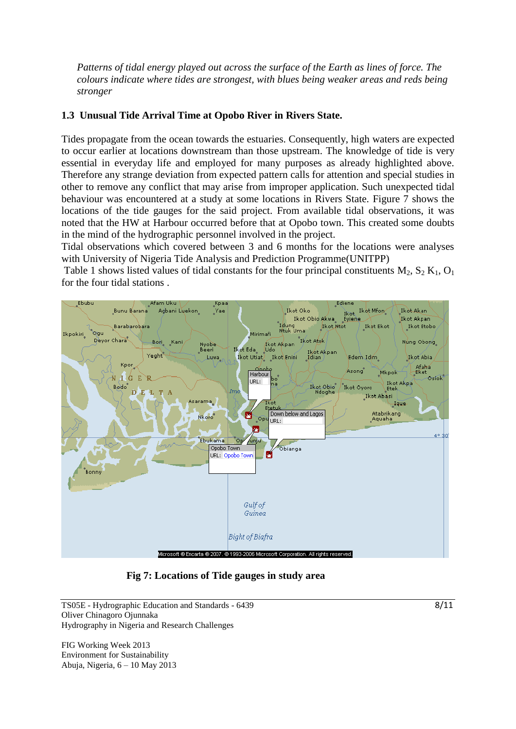*Patterns of tidal energy played out across the surface of the Earth as lines of force. The colours indicate where tides are strongest, with blues being weaker areas and reds being stronger*

### **1.3 Unusual Tide Arrival Time at Opobo River in Rivers State.**

Tides propagate from the ocean towards the estuaries. Consequently, high waters are expected to occur earlier at locations downstream than those upstream. The knowledge of tide is very essential in everyday life and employed for many purposes as already highlighted above. Therefore any strange deviation from expected pattern calls for attention and special studies in other to remove any conflict that may arise from improper application. Such unexpected tidal behaviour was encountered at a study at some locations in Rivers State. Figure 7 shows the locations of the tide gauges for the said project. From available tidal observations, it was noted that the HW at Harbour occurred before that at Opobo town. This created some doubts in the mind of the hydrographic personnel involved in the project.

Tidal observations which covered between 3 and 6 months for the locations were analyses with University of Nigeria Tide Analysis and Prediction Programme(UNITPP)

Table 1 shows listed values of tidal constants for the four principal constituents  $M_2$ ,  $S_2 K_1$ ,  $O_1$ for the four tidal stations .



 **Fig 7: Locations of Tide gauges in study area**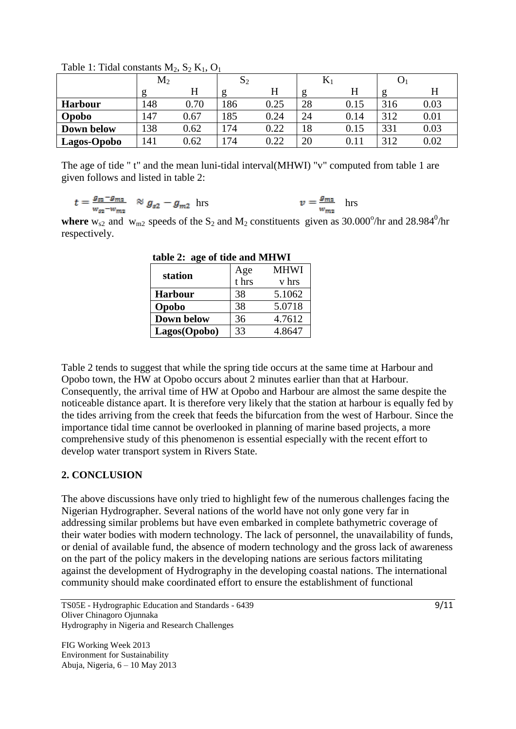|                    | $\rm M_2$ |      | $\mathbf{v}_2$ |      | 17 |      |     |      |
|--------------------|-----------|------|----------------|------|----|------|-----|------|
|                    | g         | H    | c              | H    | g  | H    |     | Η    |
| <b>Harbour</b>     | 148       | 0.70 | 86             | 0.25 | 28 | 0.15 |     | 0.03 |
| Opobo              | 47ء       | 0.67 | 85             | 0.24 | 24 | 0.14 | 312 | 0.01 |
| Down below         | 138       | 0.62 | 74             | 0.22 | 18 | 0.15 | 331 | 0.03 |
| <b>Lagos-Opobo</b> | .41       | 0.62 | 74             | 0.22 | 20 | 0.11 | 312 | 0.02 |

Table 1: Tidal constants  $M_2$ ,  $S_2$   $K_1$ ,  $O_1$ 

The age of tide " t" and the mean luni-tidal interval(MHWI) "v" computed from table 1 are given follows and listed in table 2:

$$
t = \frac{g_{s2} - g_{m2}}{w_{s2} - w_{m2}}
$$
  $\approx g_{s2} - g_{m2}$  hrs  $v = \frac{g_{m2}}{w_{m2}}$  hrs

where  $w_{s2}$  and  $w_{m2}$  speeds of the S<sub>2</sub> and M<sub>2</sub> constituents given as 30.000<sup>o</sup>/hr and 28.984<sup>0</sup>/hr respectively.

| table $\Delta$ . age of the ally villevel |              |             |  |  |  |  |
|-------------------------------------------|--------------|-------------|--|--|--|--|
| station                                   | Age<br>t hrs | <b>MHWI</b> |  |  |  |  |
|                                           |              | v hrs       |  |  |  |  |
| <b>Harbour</b>                            | 38           | 5.1062      |  |  |  |  |
| Opobo                                     | 38           | 5.0718      |  |  |  |  |
| <b>Down below</b>                         | 36           | 4.7612      |  |  |  |  |
| Lagos(Opobo)                              | 33           | 4.8647      |  |  |  |  |

 **table 2: age of tide and MHWI**

Table 2 tends to suggest that while the spring tide occurs at the same time at Harbour and Opobo town, the HW at Opobo occurs about 2 minutes earlier than that at Harbour. Consequently, the arrival time of HW at Opobo and Harbour are almost the same despite the noticeable distance apart. It is therefore very likely that the station at harbour is equally fed by the tides arriving from the creek that feeds the bifurcation from the west of Harbour. Since the importance tidal time cannot be overlooked in planning of marine based projects, a more comprehensive study of this phenomenon is essential especially with the recent effort to develop water transport system in Rivers State.

### **2. CONCLUSION**

The above discussions have only tried to highlight few of the numerous challenges facing the Nigerian Hydrographer. Several nations of the world have not only gone very far in addressing similar problems but have even embarked in complete bathymetric coverage of their water bodies with modern technology. The lack of personnel, the unavailability of funds, or denial of available fund, the absence of modern technology and the gross lack of awareness on the part of the policy makers in the developing nations are serious factors militating against the development of Hydrography in the developing coastal nations. The international community should make coordinated effort to ensure the establishment of functional

TS05E - Hydrographic Education and Standards - 6439 Oliver Chinagoro Ojunnaka Hydrography in Nigeria and Research Challenges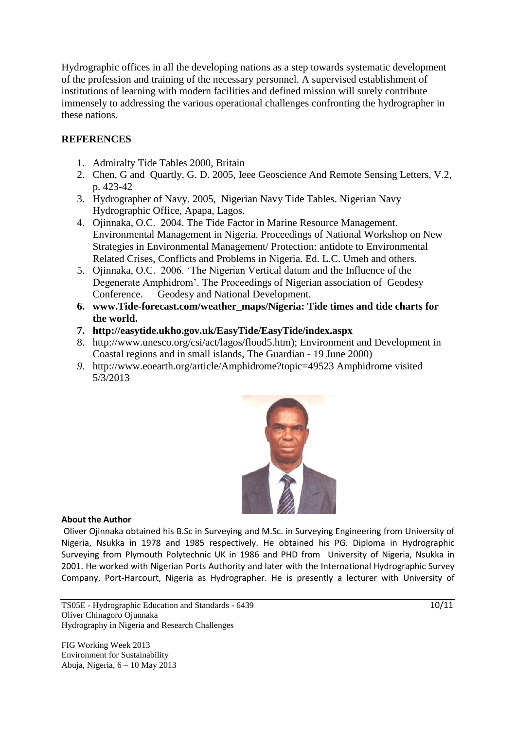Hydrographic offices in all the developing nations as a step towards systematic development of the profession and training of the necessary personnel. A supervised establishment of institutions of learning with modern facilities and defined mission will surely contribute immensely to addressing the various operational challenges confronting the hydrographer in these nations.

### **REFERENCES**

- 1. Admiralty Tide Tables 2000, Britain
- 2. Chen, G and Quartly, G. D. 2005, Ieee Geoscience And Remote Sensing Letters, V.2, p. 423-42
- 3. Hydrographer of Navy. 2005, Nigerian Navy Tide Tables. Nigerian Navy Hydrographic Office, Apapa, Lagos.
- 4. Ojinnaka, O.C. 2004. The Tide Factor in Marine Resource Management. Environmental Management in Nigeria. Proceedings of National Workshop on New Strategies in Environmental Management/ Protection: antidote to Environmental Related Crises, Conflicts and Problems in Nigeria. Ed. L.C. Umeh and others.
- 5. Ojinnaka, O.C. 2006. 'The Nigerian Vertical datum and the Influence of the Degenerate Amphidrom'. The Proceedings of Nigerian association of Geodesy Conference. Geodesy and National Development.
- **6. www.Tide-forecast.com/weather\_maps/Nigeria: Tide times and tide charts for the world.**
- **7. http://easytide.ukho.gov.uk/EasyTide/EasyTide/index.aspx**
- 8. http://www.unesco.org/csi/act/lagos/flood5.htm); Environment and Development in Coastal regions and in small islands, The Guardian - 19 June 2000)
- *9.* http://www.eoearth.org/article/Amphidrome?topic=49523 Amphidrome visited 5/3/2013



### **About the Author**

Oliver Ojinnaka obtained his B.Sc in Surveying and M.Sc. in Surveying Engineering from University of Nigeria, Nsukka in 1978 and 1985 respectively. He obtained his PG. Diploma in Hydrographic Surveying from Plymouth Polytechnic UK in 1986 and PHD from University of Nigeria, Nsukka in 2001. He worked with Nigerian Ports Authority and later with the International Hydrographic Survey Company, Port-Harcourt, Nigeria as Hydrographer. He is presently a lecturer with University of

TS05E - Hydrographic Education and Standards - 6439 Oliver Chinagoro Ojunnaka Hydrography in Nigeria and Research Challenges